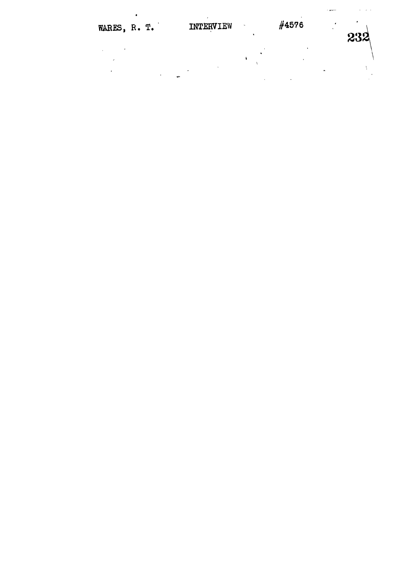| WARES, R. T. | INTERVIEW | #4576 | 232 |
|--------------|-----------|-------|-----|
|              |           |       |     |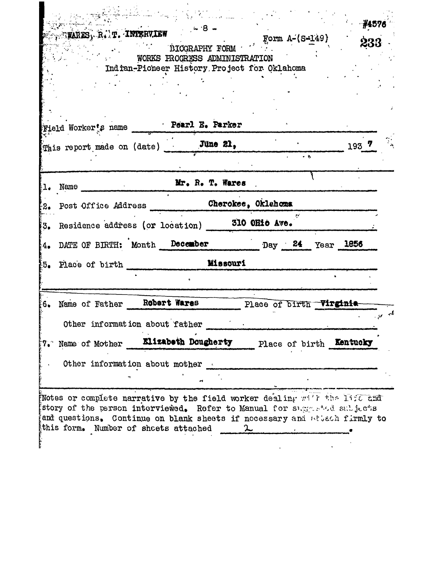| المناسب المسلم المناسب المناسب المناسب المسابقة المناسبة.<br>وقد المناسب المناسب المناسب المناسب المناسب المناسبة المناسبة المناسبة المناسبة المناسبة المناسبة المناسبة الم<br>وقد المناسبة المناسبة المناسبة المناسبة المناسبة الم                                                    |                   |
|----------------------------------------------------------------------------------------------------------------------------------------------------------------------------------------------------------------------------------------------------------------------------------------|-------------------|
| WARES, R.I.T. INTERVIEW<br>Form $A - (S - 149)$<br><b>DIOGRAPHY FORM</b><br>WORKS FROGRESS ADMINISTRATION                                                                                                                                                                              | $-4576$           |
| Indian-Pioneer History Project for Oklahoma                                                                                                                                                                                                                                            |                   |
| Field Worker's name _______ Pearl E. Parker<br>This report made on (date) June 21,                                                                                                                                                                                                     | $193 \frac{7}{2}$ |
| Mr. R. T. Wares<br>$1.$ Name                                                                                                                                                                                                                                                           |                   |
| Cherokee, Oklahoma<br>Post Office Address<br>2.                                                                                                                                                                                                                                        |                   |
| Residence address (or location) 310 OHio Ave.<br>3.                                                                                                                                                                                                                                    |                   |
| DATE OF BIRTH: Month December Day 24 Year 1856                                                                                                                                                                                                                                         |                   |
| 5. Place of birth <b>Missouri</b>                                                                                                                                                                                                                                                      |                   |
|                                                                                                                                                                                                                                                                                        |                   |
| Robert Wares<br>Name of Father<br>Place of birth Virginia<br>86.<br>Other information about father                                                                                                                                                                                     |                   |
| Elizabeth Dougherty<br>Place of birth Kentucky<br>7. Name of Mother                                                                                                                                                                                                                    |                   |
| Other information about mother                                                                                                                                                                                                                                                         |                   |
| Notes or complete narrative by the field worker dealing with the lift and<br>story of the person interviewed. Refer to Manual for suggested subjects<br>fand questions. Continue on blank sheets if necessary and attech firmly to<br>this form. Number of sheets attached<br>$\sim$ 2 |                   |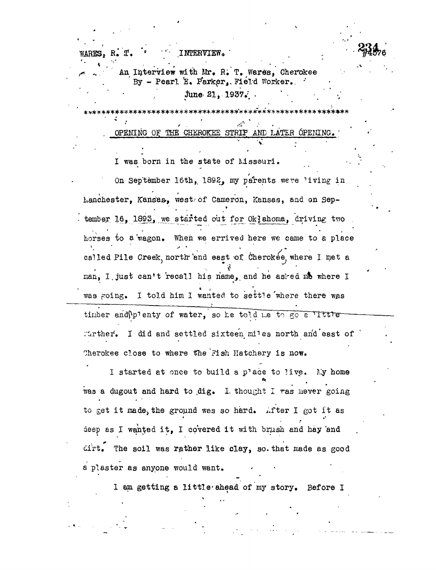| WARES, R. T. |  |  | INTERVIEW. |  |
|--------------|--|--|------------|--|
|              |  |  |            |  |

\* . • . . . . *,\*>* ", AE Interview with Mr, R; T, Wares, Cherokee By  $-$  Pearl E. Parker, Field Worker.

 $June 21, 1937.$ 

OPENING OF THE CHEROKEE STRIP AND LATER OPENING.

I was born in the state of Missouri. On September 16th, 1892, my parents were living in Manchester, Kansas, west/of Cameron, Kansas, and on September 16, 1893, we started out for Oklahoma, driving two horses to a wagon. When we arrived here we came to a place called Pile Creek, north 'and east of Cherokee, where I met a man, I just can't recall his name, and he asked me where I was going. I told him I wanted to settle where there was timber and plenty of water, so he told i.e to go a little  $\Box$ arther. I did and settled sixteen miles north and east of

Cherokee close to where the Fish Hatchery is now.

I started at once to build a p<sup>r</sup>ace to live. My home was a dugout and hard to .dig. I. thought I ras never going to get it made, the ground was so hard. After I got it as deep as I wanted it, I covered it with brush and hay and dirt. The soil was rather like clay, so.that made as good a plaster as anyone would want.

I am getting a little ahead of my story. Before I